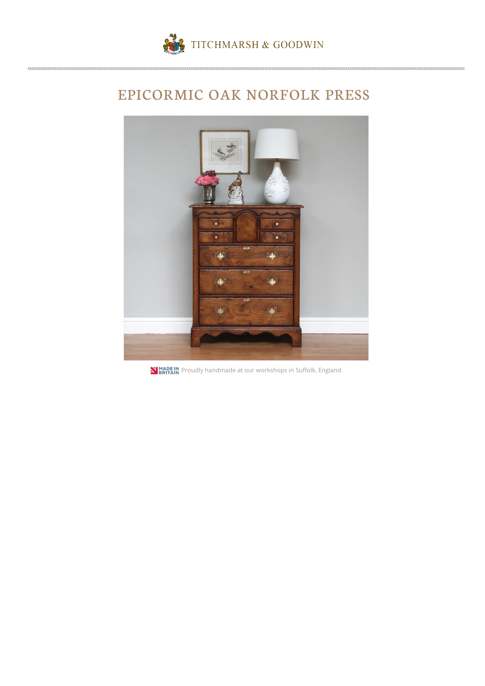

## EPICORMIC OAK NORFOLK PRESS



**N** MADE IN Proudly handmade at our workshops in Suffolk, England